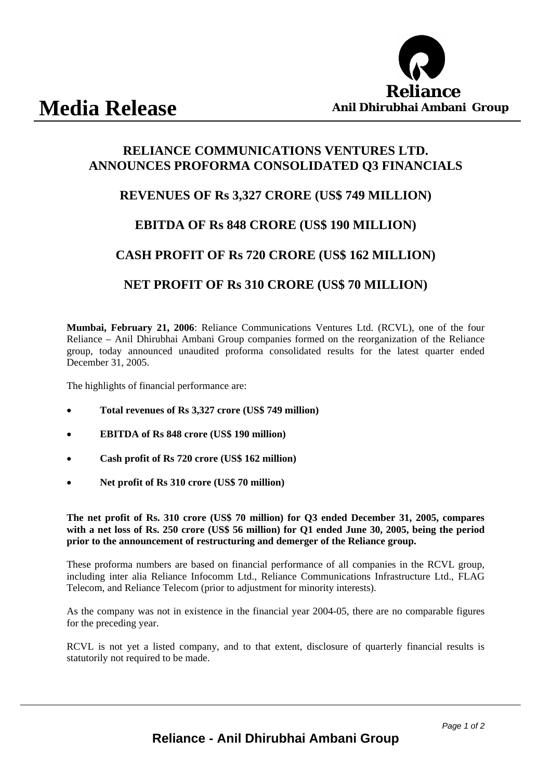

## **RELIANCE COMMUNICATIONS VENTURES LTD. ANNOUNCES PROFORMA CONSOLIDATED Q3 FINANCIALS**

## **REVENUES OF Rs 3,327 CRORE (US\$ 749 MILLION)**

#### **EBITDA OF Rs 848 CRORE (US\$ 190 MILLION)**

## **CASH PROFIT OF Rs 720 CRORE (US\$ 162 MILLION)**

#### **NET PROFIT OF Rs 310 CRORE (US\$ 70 MILLION)**

**Mumbai, February 21, 2006**: Reliance Communications Ventures Ltd. (RCVL), one of the four Reliance – Anil Dhirubhai Ambani Group companies formed on the reorganization of the Reliance group, today announced unaudited proforma consolidated results for the latest quarter ended December 31, 2005.

The highlights of financial performance are:

- **Total revenues of Rs 3,327 crore (US\$ 749 million)**
- **EBITDA of Rs 848 crore (US\$ 190 million)**
- **Cash profit of Rs 720 crore (US\$ 162 million)**
- **Net profit of Rs 310 crore (US\$ 70 million)**

**The net profit of Rs. 310 crore (US\$ 70 million) for Q3 ended December 31, 2005, compares with a net loss of Rs. 250 crore (US\$ 56 million) for Q1 ended June 30, 2005, being the period prior to the announcement of restructuring and demerger of the Reliance group.** 

These proforma numbers are based on financial performance of all companies in the RCVL group, including inter alia Reliance Infocomm Ltd., Reliance Communications Infrastructure Ltd., FLAG Telecom, and Reliance Telecom (prior to adjustment for minority interests).

As the company was not in existence in the financial year 2004-05, there are no comparable figures for the preceding year.

RCVL is not yet a listed company, and to that extent, disclosure of quarterly financial results is statutorily not required to be made.